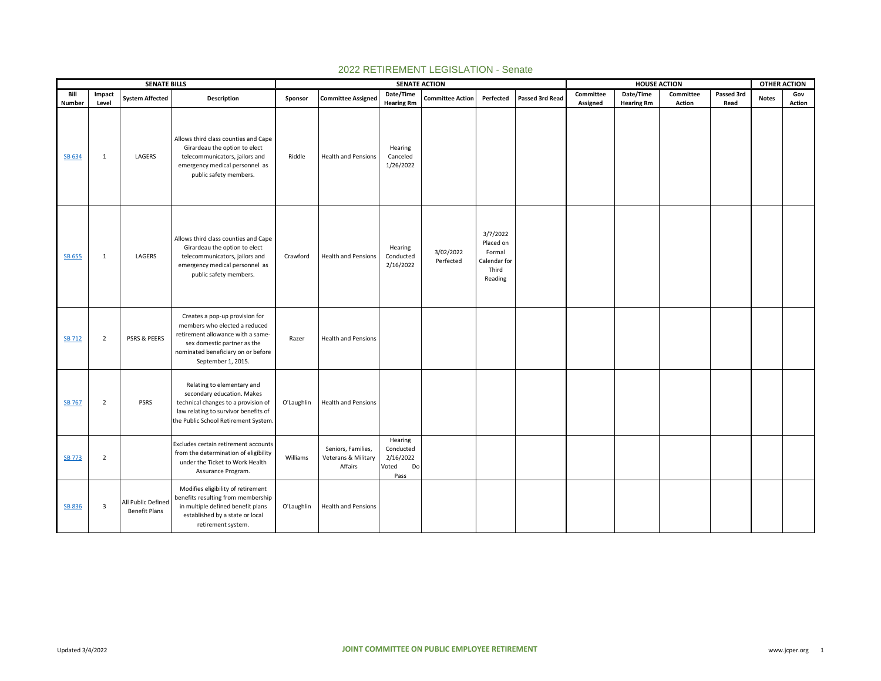|               |                         | <b>SENATE BILLS</b>                        |                                                                                                                                                                                                 |            |                                                      | <b>SENATE ACTION</b>                                     |                         |                                                                     |                 |           | <b>HOUSE ACTION</b> |           |            | <b>OTHER ACTION</b> |        |
|---------------|-------------------------|--------------------------------------------|-------------------------------------------------------------------------------------------------------------------------------------------------------------------------------------------------|------------|------------------------------------------------------|----------------------------------------------------------|-------------------------|---------------------------------------------------------------------|-----------------|-----------|---------------------|-----------|------------|---------------------|--------|
| Bill          | Impact                  | <b>System Affected</b>                     | Description                                                                                                                                                                                     | Sponsor    | <b>Committee Assigned</b>                            | Date/Time                                                | <b>Committee Action</b> | Perfected                                                           | Passed 3rd Read | Committee | Date/Time           | Committee | Passed 3rd | <b>Notes</b>        | Gov    |
| Number        | Level                   |                                            |                                                                                                                                                                                                 |            |                                                      | <b>Hearing Rm</b>                                        |                         |                                                                     |                 | Assigned  | <b>Hearing Rm</b>   | Action    | Read       |                     | Action |
| SB 634        | 1                       | LAGERS                                     | Allows third class counties and Cape<br>Girardeau the option to elect<br>telecommunicators, jailors and<br>emergency medical personnel as<br>public safety members.                             | Riddle     | <b>Health and Pensions</b>                           | Hearing<br>Canceled<br>1/26/2022                         |                         |                                                                     |                 |           |                     |           |            |                     |        |
| <b>SB 655</b> | 1                       | LAGERS                                     | Allows third class counties and Cape<br>Girardeau the option to elect<br>telecommunicators, jailors and<br>emergency medical personnel as<br>public safety members.                             | Crawford   | <b>Health and Pensions</b>                           | Hearing<br>Conducted<br>2/16/2022                        | 3/02/2022<br>Perfected  | 3/7/2022<br>Placed on<br>Formal<br>Calendar for<br>Third<br>Reading |                 |           |                     |           |            |                     |        |
| <b>SB 712</b> | $\overline{2}$          | <b>PSRS &amp; PEERS</b>                    | Creates a pop-up provision for<br>members who elected a reduced<br>retirement allowance with a same-<br>sex domestic partner as the<br>nominated beneficiary on or before<br>September 1, 2015. | Razer      | <b>Health and Pensions</b>                           |                                                          |                         |                                                                     |                 |           |                     |           |            |                     |        |
| <b>SB 767</b> | $\overline{2}$          | <b>PSRS</b>                                | Relating to elementary and<br>secondary education. Makes<br>technical changes to a provision of<br>law relating to survivor benefits of<br>the Public School Retirement System.                 | O'Laughlin | <b>Health and Pensions</b>                           |                                                          |                         |                                                                     |                 |           |                     |           |            |                     |        |
| <b>SB 773</b> | $\overline{2}$          |                                            | Excludes certain retirement accounts<br>from the determination of eligibility<br>under the Ticket to Work Health<br>Assurance Program.                                                          | Williams   | Seniors, Families,<br>Veterans & Military<br>Affairs | Hearing<br>Conducted<br>2/16/2022<br>Voted<br>Do<br>Pass |                         |                                                                     |                 |           |                     |           |            |                     |        |
| SB 836        | $\overline{\mathbf{3}}$ | All Public Defined<br><b>Benefit Plans</b> | Modifies eligibility of retirement<br>benefits resulting from membership<br>in multiple defined benefit plans<br>established by a state or local<br>retirement system.                          | O'Laughlin | Health and Pensions                                  |                                                          |                         |                                                                     |                 |           |                     |           |            |                     |        |

## 2022 RETIREMENT LEGISLATION - Senate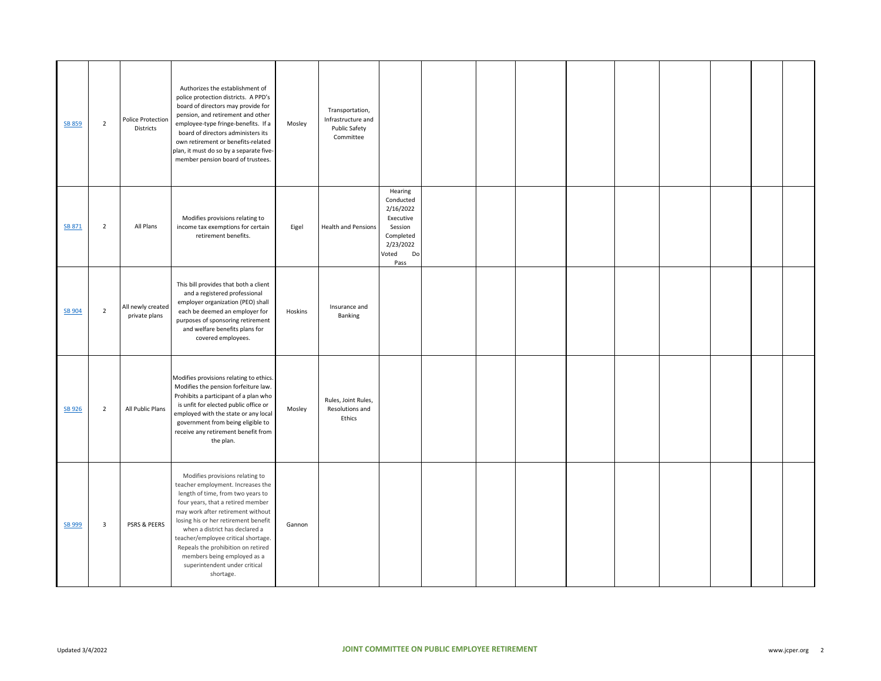| <b>SB 859</b> | $\overline{2}$ | Police Protection<br>Districts     | Authorizes the establishment of<br>police protection districts. A PPD's<br>board of directors may provide for<br>pension, and retirement and other<br>employee-type fringe-benefits. If a<br>board of directors administers its<br>own retirement or benefits-related<br>plan, it must do so by a separate five-<br>member pension board of trustees.                                                                   | Mosley  | Transportation,<br>Infrastructure and<br>Public Safety<br>Committee |                                                                                                            |  |  |  |  |  |
|---------------|----------------|------------------------------------|-------------------------------------------------------------------------------------------------------------------------------------------------------------------------------------------------------------------------------------------------------------------------------------------------------------------------------------------------------------------------------------------------------------------------|---------|---------------------------------------------------------------------|------------------------------------------------------------------------------------------------------------|--|--|--|--|--|
| SB 871        | $\overline{2}$ | All Plans                          | Modifies provisions relating to<br>income tax exemptions for certain<br>retirement benefits.                                                                                                                                                                                                                                                                                                                            | Eigel   | <b>Health and Pensions</b>                                          | Hearing<br>Conducted<br>2/16/2022<br>Executive<br>Session<br>Completed<br>2/23/2022<br>Voted<br>Do<br>Pass |  |  |  |  |  |
| SB 904        | $\overline{2}$ | All newly created<br>private plans | This bill provides that both a client<br>and a registered professional<br>employer organization (PEO) shall<br>each be deemed an employer for<br>purposes of sponsoring retirement<br>and welfare benefits plans for<br>covered employees.                                                                                                                                                                              | Hoskins | Insurance and<br>Banking                                            |                                                                                                            |  |  |  |  |  |
| <b>SB 926</b> | $\overline{2}$ | All Public Plans                   | Modifies provisions relating to ethics.<br>Modifies the pension forfeiture law.<br>Prohibits a participant of a plan who<br>is unfit for elected public office or<br>employed with the state or any local<br>government from being eligible to<br>receive any retirement benefit from<br>the plan.                                                                                                                      | Mosley  | Rules, Joint Rules,<br>Resolutions and<br>Ethics                    |                                                                                                            |  |  |  |  |  |
| SB 999        | $\mathbf{3}$   | PSRS & PEERS                       | Modifies provisions relating to<br>teacher employment. Increases the<br>length of time, from two years to<br>four years, that a retired member<br>may work after retirement without<br>losing his or her retirement benefit<br>when a district has declared a<br>teacher/employee critical shortage.<br>Repeals the prohibition on retired<br>members being employed as a<br>superintendent under critical<br>shortage. | Gannon  |                                                                     |                                                                                                            |  |  |  |  |  |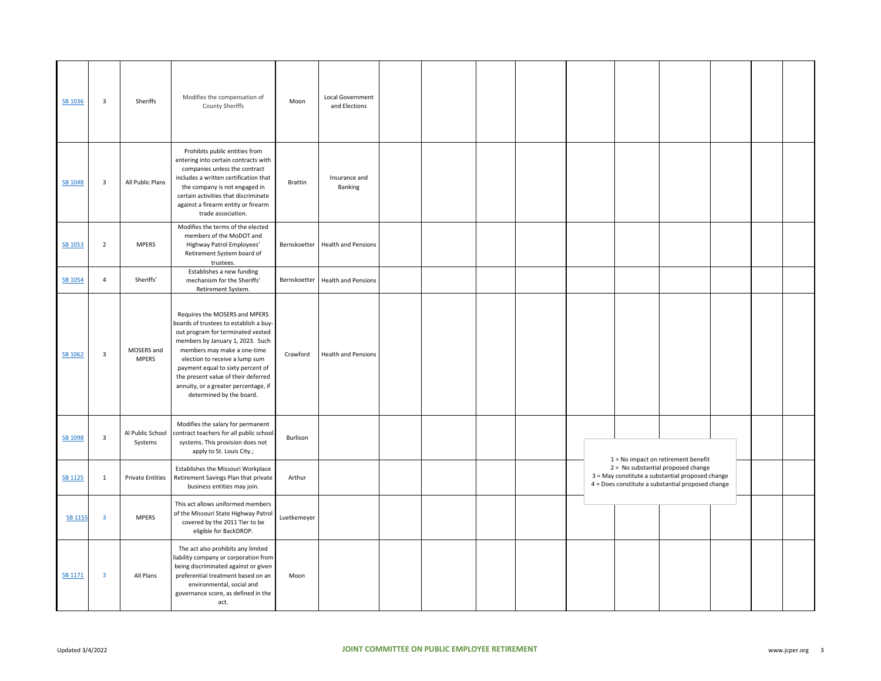| SB 1036 | $\overline{\mathbf{3}}$ | Sheriffs                    | Modifies the compensation of<br><b>County Sheriffs</b>                                                                                                                                                                                                                                                                                                            | Moon           | Local Government<br>and Elections |  |  |  |                                                                                                                                             |  |  |
|---------|-------------------------|-----------------------------|-------------------------------------------------------------------------------------------------------------------------------------------------------------------------------------------------------------------------------------------------------------------------------------------------------------------------------------------------------------------|----------------|-----------------------------------|--|--|--|---------------------------------------------------------------------------------------------------------------------------------------------|--|--|
| SB 1048 | $\overline{\mathbf{3}}$ | All Public Plans            | Prohibits public entities from<br>entering into certain contracts with<br>companies unless the contract<br>includes a written certification that<br>the company is not engaged in<br>certain activities that discriminate<br>against a firearm entity or firearm<br>trade association.                                                                            | <b>Brattin</b> | Insurance and<br>Banking          |  |  |  |                                                                                                                                             |  |  |
| SB 1053 | $\overline{2}$          | <b>MPERS</b>                | Modifies the terms of the elected<br>members of the MoDOT and<br>Highway Patrol Employees'<br>Retirement System board of<br>trustees.                                                                                                                                                                                                                             |                | Bernskoetter Health and Pensions  |  |  |  |                                                                                                                                             |  |  |
| SB 1054 | $\overline{4}$          | Sheriffs'                   | Establishes a new funding<br>mechanism for the Sheriffs'<br>Retirement System.                                                                                                                                                                                                                                                                                    |                | Bernskoetter Health and Pensions  |  |  |  |                                                                                                                                             |  |  |
| SB 1062 | $\overline{\mathbf{3}}$ | MOSERS and<br><b>MPERS</b>  | Requires the MOSERS and MPERS<br>boards of trustees to establish a buy-<br>out program for terminated vested<br>members by January 1, 2023. Such<br>members may make a one-time<br>election to receive a lump sum<br>payment equal to sixty percent of<br>the present value of their deferred<br>annuity, or a greater percentage, if<br>determined by the board. | Crawford       | <b>Health and Pensions</b>        |  |  |  |                                                                                                                                             |  |  |
| SB 1098 | $\overline{\mathbf{3}}$ | Al Public School<br>Systems | Modifies the salary for permanent<br>contract teachers for all public school<br>systems. This provision does not<br>apply to St. Louis City.;                                                                                                                                                                                                                     | Burlison       |                                   |  |  |  | 1 = No impact on retirement benefit                                                                                                         |  |  |
| SB 1125 | $\mathbf{1}$            | <b>Private Entities</b>     | Establishes the Missouri Workplace<br>Retirement Savings Plan that private<br>business entities may join.                                                                                                                                                                                                                                                         | Arthur         |                                   |  |  |  | 2 = No substantial proposed change<br>3 = May constitute a substantial proposed change<br>4 = Does constitute a substantial proposed change |  |  |
| SB 1155 | $\overline{\mathbf{3}}$ | <b>MPERS</b>                | This act allows uniformed members<br>of the Missouri State Highway Patrol<br>covered by the 2011 Tier to be<br>eligible for BackDROP.                                                                                                                                                                                                                             | Luetkemeyer    |                                   |  |  |  |                                                                                                                                             |  |  |
| SB 1171 | $\overline{\mathbf{3}}$ | All Plans                   | The act also prohibits any limited<br>iability company or corporation from<br>being discriminated against or given<br>preferential treatment based on an<br>environmental, social and<br>governance score, as defined in the<br>act.                                                                                                                              | Moon           |                                   |  |  |  |                                                                                                                                             |  |  |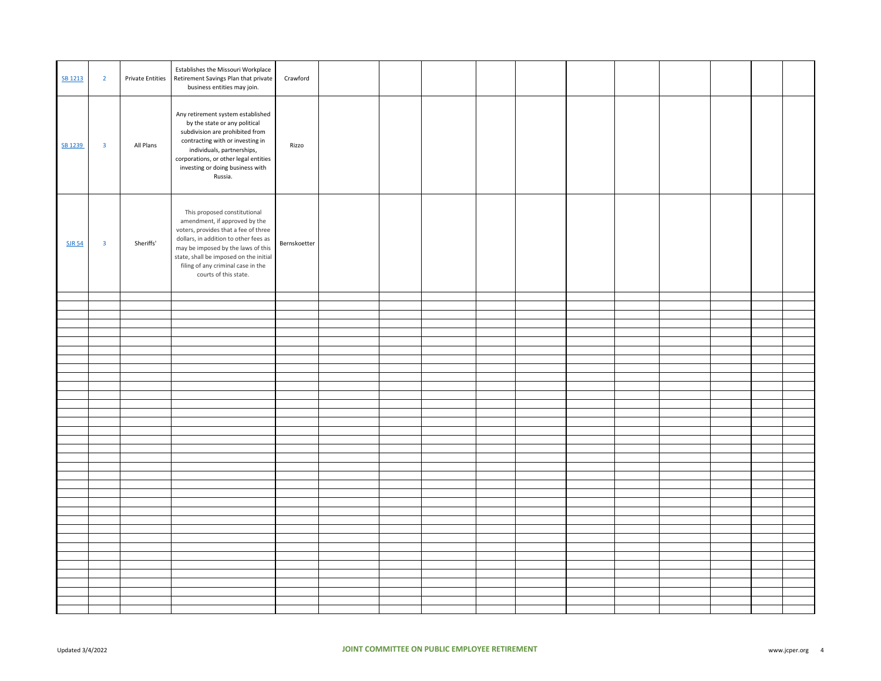| SB 1213       | $\overline{2}$          | <b>Private Entities</b> | Establishes the Missouri Workplace<br>Retirement Savings Plan that private<br>business entities may join.                                                                                                                                                                                     | Crawford     |  |  |  |  |  |  |
|---------------|-------------------------|-------------------------|-----------------------------------------------------------------------------------------------------------------------------------------------------------------------------------------------------------------------------------------------------------------------------------------------|--------------|--|--|--|--|--|--|
| SB 1239       | $\overline{\mathbf{3}}$ | All Plans               | Any retirement system established<br>by the state or any political<br>subdivision are prohibited from<br>contracting with or investing in<br>individuals, partnerships,<br>corporations, or other legal entities<br>investing or doing business with<br>Russia.                               | Rizzo        |  |  |  |  |  |  |
| <b>SJR 54</b> | $\overline{\mathbf{3}}$ | Sheriffs'               | This proposed constitutional<br>amendment, if approved by the<br>voters, provides that a fee of three<br>dollars, in addition to other fees as<br>may be imposed by the laws of this<br>state, shall be imposed on the initial<br>filing of any criminal case in the<br>courts of this state. | Bernskoetter |  |  |  |  |  |  |
|               |                         |                         |                                                                                                                                                                                                                                                                                               |              |  |  |  |  |  |  |
|               |                         |                         |                                                                                                                                                                                                                                                                                               |              |  |  |  |  |  |  |
|               |                         |                         |                                                                                                                                                                                                                                                                                               |              |  |  |  |  |  |  |
|               |                         |                         |                                                                                                                                                                                                                                                                                               |              |  |  |  |  |  |  |
|               |                         |                         |                                                                                                                                                                                                                                                                                               |              |  |  |  |  |  |  |
|               |                         |                         |                                                                                                                                                                                                                                                                                               |              |  |  |  |  |  |  |
|               |                         |                         |                                                                                                                                                                                                                                                                                               |              |  |  |  |  |  |  |
|               |                         |                         |                                                                                                                                                                                                                                                                                               |              |  |  |  |  |  |  |
|               |                         |                         |                                                                                                                                                                                                                                                                                               |              |  |  |  |  |  |  |
|               |                         |                         |                                                                                                                                                                                                                                                                                               |              |  |  |  |  |  |  |
|               |                         |                         |                                                                                                                                                                                                                                                                                               |              |  |  |  |  |  |  |
|               |                         |                         |                                                                                                                                                                                                                                                                                               |              |  |  |  |  |  |  |
|               |                         |                         |                                                                                                                                                                                                                                                                                               |              |  |  |  |  |  |  |
|               |                         |                         |                                                                                                                                                                                                                                                                                               |              |  |  |  |  |  |  |
|               |                         |                         |                                                                                                                                                                                                                                                                                               |              |  |  |  |  |  |  |
|               |                         |                         |                                                                                                                                                                                                                                                                                               |              |  |  |  |  |  |  |
|               |                         |                         |                                                                                                                                                                                                                                                                                               |              |  |  |  |  |  |  |
|               |                         |                         |                                                                                                                                                                                                                                                                                               |              |  |  |  |  |  |  |
|               |                         |                         |                                                                                                                                                                                                                                                                                               |              |  |  |  |  |  |  |
|               |                         |                         |                                                                                                                                                                                                                                                                                               |              |  |  |  |  |  |  |
|               |                         |                         |                                                                                                                                                                                                                                                                                               |              |  |  |  |  |  |  |
|               |                         |                         |                                                                                                                                                                                                                                                                                               |              |  |  |  |  |  |  |
|               |                         |                         |                                                                                                                                                                                                                                                                                               |              |  |  |  |  |  |  |
|               |                         |                         |                                                                                                                                                                                                                                                                                               |              |  |  |  |  |  |  |
|               |                         |                         |                                                                                                                                                                                                                                                                                               |              |  |  |  |  |  |  |
|               |                         |                         |                                                                                                                                                                                                                                                                                               |              |  |  |  |  |  |  |
|               |                         |                         |                                                                                                                                                                                                                                                                                               |              |  |  |  |  |  |  |
|               |                         |                         |                                                                                                                                                                                                                                                                                               |              |  |  |  |  |  |  |
|               |                         |                         |                                                                                                                                                                                                                                                                                               |              |  |  |  |  |  |  |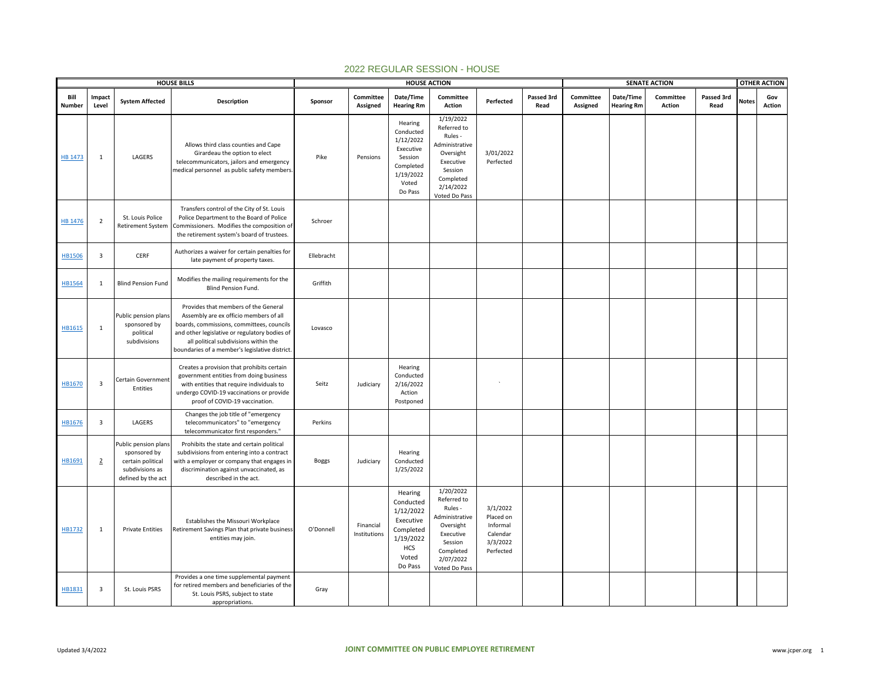|                | <b>HOUSE BILLS</b><br>Impact |                                                                                                    |                                                                                                                                                                                                                                                                         | <b>HOUSE ACTION</b> |                           |                                                                                                            |                                                                                                                                       |                                                                        |                    |                       |                                | <b>SENATE ACTION</b> |                    |              | <b>OTHER ACTION</b> |
|----------------|------------------------------|----------------------------------------------------------------------------------------------------|-------------------------------------------------------------------------------------------------------------------------------------------------------------------------------------------------------------------------------------------------------------------------|---------------------|---------------------------|------------------------------------------------------------------------------------------------------------|---------------------------------------------------------------------------------------------------------------------------------------|------------------------------------------------------------------------|--------------------|-----------------------|--------------------------------|----------------------|--------------------|--------------|---------------------|
| Bill<br>Number | Level                        | <b>System Affected</b>                                                                             | Description                                                                                                                                                                                                                                                             | Sponsor             | Committee<br>Assigned     | Date/Time<br><b>Hearing Rm</b>                                                                             | Committee<br>Action                                                                                                                   | Perfected                                                              | Passed 3rd<br>Read | Committee<br>Assigned | Date/Time<br><b>Hearing Rm</b> | Committee<br>Action  | Passed 3rd<br>Read | <b>Notes</b> | Gov<br>Action       |
| <b>HB 1473</b> | 1                            | LAGERS                                                                                             | Allows third class counties and Cape<br>Girardeau the option to elect<br>telecommunicators, jailors and emergency<br>medical personnel as public safety members.                                                                                                        | Pike                | Pensions                  | Hearing<br>Conducted<br>1/12/2022<br>Executive<br>Session<br>Completed<br>1/19/2022<br>Voted<br>Do Pass    | 1/19/2022<br>Referred to<br>Rules -<br>Administrative<br>Oversight<br>Executive<br>Session<br>Completed<br>2/14/2022<br>Voted Do Pass | 3/01/2022<br>Perfected                                                 |                    |                       |                                |                      |                    |              |                     |
| <b>HB 1476</b> | $\overline{2}$               | St. Louis Police<br>Retirement System                                                              | Transfers control of the City of St. Louis<br>Police Department to the Board of Police<br>Commissioners. Modifies the composition of<br>the retirement system's board of trustees.                                                                                      | Schroer             |                           |                                                                                                            |                                                                                                                                       |                                                                        |                    |                       |                                |                      |                    |              |                     |
| <b>HB1506</b>  | $\overline{\mathbf{3}}$      | CERF                                                                                               | Authorizes a waiver for certain penalties for<br>late payment of property taxes.                                                                                                                                                                                        | Ellebracht          |                           |                                                                                                            |                                                                                                                                       |                                                                        |                    |                       |                                |                      |                    |              |                     |
| HB1564         | 1                            | <b>Blind Pension Fund</b>                                                                          | Modifies the mailing requirements for the<br>Blind Pension Fund.                                                                                                                                                                                                        | Griffith            |                           |                                                                                                            |                                                                                                                                       |                                                                        |                    |                       |                                |                      |                    |              |                     |
| HB1615         | $\mathbf{1}$                 | Public pension plans<br>sponsored by<br>political<br>subdivisions                                  | Provides that members of the General<br>Assembly are ex officio members of all<br>boards, commissions, committees, councils<br>and other legislative or regulatory bodies of<br>all political subdivisions within the<br>boundaries of a member's legislative district. | Lovasco             |                           |                                                                                                            |                                                                                                                                       |                                                                        |                    |                       |                                |                      |                    |              |                     |
| HB1670         | $\overline{\mathbf{3}}$      | Certain Government<br>Entities                                                                     | Creates a provision that prohibits certain<br>government entities from doing business<br>with entities that require individuals to<br>undergo COVID-19 vaccinations or provide<br>proof of COVID-19 vaccination.                                                        | Seitz               | Judiciary                 | Hearing<br>Conducted<br>2/16/2022<br>Action<br>Postponed                                                   |                                                                                                                                       |                                                                        |                    |                       |                                |                      |                    |              |                     |
| HB1676         | $\overline{\mathbf{3}}$      | LAGERS                                                                                             | Changes the job title of "emergency<br>telecommunicators" to "emergency<br>telecommunicator first responders."                                                                                                                                                          | Perkins             |                           |                                                                                                            |                                                                                                                                       |                                                                        |                    |                       |                                |                      |                    |              |                     |
| HB1691         | $\overline{2}$               | Public pension plans<br>sponsored by<br>certain political<br>subdivisions as<br>defined by the act | Prohibits the state and certain political<br>subdivisions from entering into a contract<br>with a employer or company that engages in<br>discrimination against unvaccinated, as<br>described in the act.                                                               | <b>Boggs</b>        | Judiciary                 | Hearing<br>Conducted<br>1/25/2022                                                                          |                                                                                                                                       |                                                                        |                    |                       |                                |                      |                    |              |                     |
| HB1732         | 1                            | <b>Private Entities</b>                                                                            | Establishes the Missouri Workplace<br>Retirement Savings Plan that private business<br>entities may join.                                                                                                                                                               | O'Donnell           | Financial<br>Institutions | Hearing<br>Conducted<br>1/12/2022<br>Executive<br>Completed<br>1/19/2022<br><b>HCS</b><br>Voted<br>Do Pass | 1/20/2022<br>Referred to<br>Rules -<br>Administrative<br>Oversight<br>Executive<br>Session<br>Completed<br>2/07/2022<br>Voted Do Pass | 3/1/2022<br>Placed on<br>Informal<br>Calendar<br>3/3/2022<br>Perfected |                    |                       |                                |                      |                    |              |                     |
| HB1831         | $\overline{\mathbf{3}}$      | St. Louis PSRS                                                                                     | Provides a one time supplemental payment<br>for retired members and beneficiaries of the<br>St. Louis PSRS, subject to state<br>appropriations.                                                                                                                         | Gray                |                           |                                                                                                            |                                                                                                                                       |                                                                        |                    |                       |                                |                      |                    |              |                     |

## 2022 REGULAR SESSION - HOUSE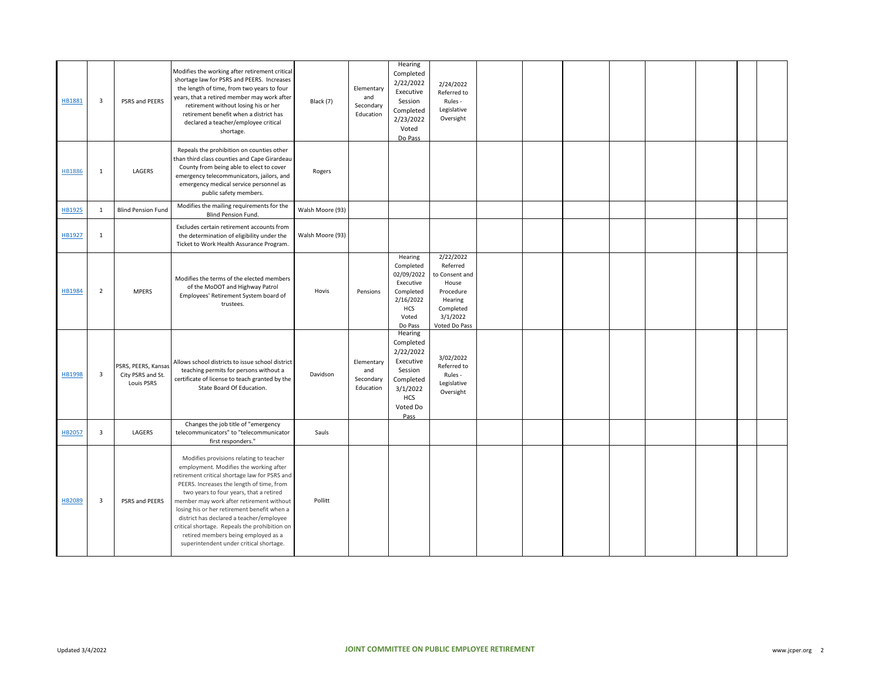| HB1881        | $\overline{\mathbf{3}}$ | PSRS and PEERS                                         | Modifies the working after retirement critical<br>shortage law for PSRS and PEERS. Increases<br>the length of time, from two years to four<br>years, that a retired member may work after<br>retirement without losing his or her<br>retirement benefit when a district has<br>declared a teacher/employee critical<br>shortage.                                                                                                                                                                     | Black (7)        | Elementary<br>and<br>Secondary<br>Education | Hearing<br>Completed<br>2/22/2022<br>Executive<br>Session<br>Completed<br>2/23/2022<br>Voted<br>Do Pass              | 2/24/2022<br>Referred to<br>Rules -<br>Legislative<br>Oversight                                                    |  |  |  |  |
|---------------|-------------------------|--------------------------------------------------------|------------------------------------------------------------------------------------------------------------------------------------------------------------------------------------------------------------------------------------------------------------------------------------------------------------------------------------------------------------------------------------------------------------------------------------------------------------------------------------------------------|------------------|---------------------------------------------|----------------------------------------------------------------------------------------------------------------------|--------------------------------------------------------------------------------------------------------------------|--|--|--|--|
| <b>HB1886</b> | 1                       | LAGERS                                                 | Repeals the prohibition on counties other<br>than third class counties and Cape Girardeau<br>County from being able to elect to cover<br>emergency telecommunicators, jailors, and<br>emergency medical service personnel as<br>public safety members.                                                                                                                                                                                                                                               | Rogers           |                                             |                                                                                                                      |                                                                                                                    |  |  |  |  |
| HB1925        | $\mathbf{1}$            | <b>Blind Pension Fund</b>                              | Modifies the mailing requirements for the<br>Blind Pension Fund.                                                                                                                                                                                                                                                                                                                                                                                                                                     | Walsh Moore (93) |                                             |                                                                                                                      |                                                                                                                    |  |  |  |  |
| HB1927        | $\mathbf{1}$            |                                                        | Excludes certain retirement accounts from<br>the determination of eligibility under the<br>Ticket to Work Health Assurance Program.                                                                                                                                                                                                                                                                                                                                                                  | Walsh Moore (93) |                                             |                                                                                                                      |                                                                                                                    |  |  |  |  |
| <b>HB1984</b> | $\overline{2}$          | <b>MPERS</b>                                           | Modifies the terms of the elected members<br>of the MoDOT and Highway Patrol<br>Employees' Retirement System board of<br>trustees.                                                                                                                                                                                                                                                                                                                                                                   | Hovis            | Pensions                                    | Hearing<br>Completed<br>02/09/2022<br>Executive<br>Completed<br>2/16/2022<br>HCS<br>Voted<br>Do Pass                 | 2/22/2022<br>Referred<br>to Consent and<br>House<br>Procedure<br>Hearing<br>Completed<br>3/1/2022<br>Voted Do Pass |  |  |  |  |
| <b>HB1998</b> | $\overline{\mathbf{3}}$ | PSRS, PEERS, Kansas<br>City PSRS and St.<br>Louis PSRS | Allows school districts to issue school district<br>teaching permits for persons without a<br>certificate of license to teach granted by the<br>State Board Of Education.                                                                                                                                                                                                                                                                                                                            | Davidson         | Elementary<br>and<br>Secondary<br>Education | Hearing<br>Completed<br>2/22/2022<br>Executive<br>Session<br>Completed<br>3/1/2022<br><b>HCS</b><br>Voted Do<br>Pass | 3/02/2022<br>Referred to<br>Rules -<br>Legislative<br>Oversight                                                    |  |  |  |  |
| HB2057        | $\overline{\mathbf{3}}$ | LAGERS                                                 | Changes the job title of "emergency<br>telecommunicators" to "telecommunicator<br>first responders."                                                                                                                                                                                                                                                                                                                                                                                                 | Sauls            |                                             |                                                                                                                      |                                                                                                                    |  |  |  |  |
| <b>HB2089</b> | $\overline{\mathbf{3}}$ | PSRS and PEERS                                         | Modifies provisions relating to teacher<br>employment. Modifies the working after<br>retirement critical shortage law for PSRS and<br>PEERS. Increases the length of time, from<br>two years to four years, that a retired<br>member may work after retirement without<br>losing his or her retirement benefit when a<br>district has declared a teacher/employee<br>critical shortage. Repeals the prohibition on<br>retired members being employed as a<br>superintendent under critical shortage. | Pollitt          |                                             |                                                                                                                      |                                                                                                                    |  |  |  |  |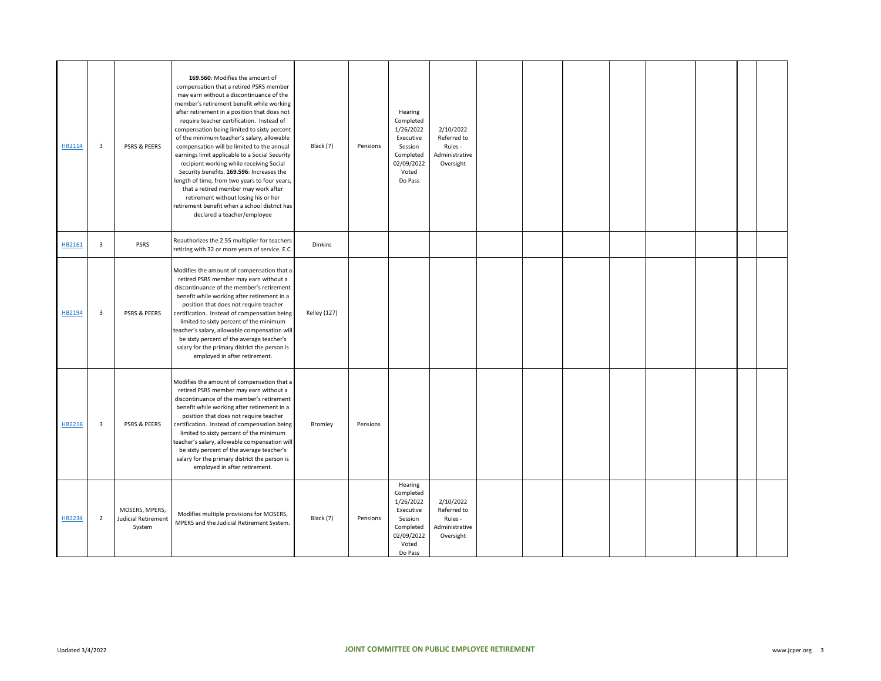| HB2114 | 3                       | PSRS & PEERS                                           | 169.560: Modifies the amount of<br>compensation that a retired PSRS member<br>may earn without a discontinuance of the<br>member's retirement benefit while working<br>after retirement in a position that does not<br>require teacher certification. Instead of<br>compensation being limited to sixty percent<br>of the minimum teacher's salary, allowable<br>compensation will be limited to the annual<br>earnings limit applicable to a Social Security<br>recipient working while receiving Social<br>Security benefits. 169.596: Increases the<br>length of time, from two years to four years,<br>that a retired member may work after<br>retirement without losing his or her<br>retirement benefit when a school district has<br>declared a teacher/employee | Black (7)           | Pensions | Hearing<br>Completed<br>1/26/2022<br>Executive<br>Session<br>Completed<br>02/09/2022<br>Voted<br>Do Pass | 2/10/2022<br>Referred to<br>Rules -<br>Administrative<br>Oversight |  |  |  |  |
|--------|-------------------------|--------------------------------------------------------|-------------------------------------------------------------------------------------------------------------------------------------------------------------------------------------------------------------------------------------------------------------------------------------------------------------------------------------------------------------------------------------------------------------------------------------------------------------------------------------------------------------------------------------------------------------------------------------------------------------------------------------------------------------------------------------------------------------------------------------------------------------------------|---------------------|----------|----------------------------------------------------------------------------------------------------------|--------------------------------------------------------------------|--|--|--|--|
| HB2161 | 3                       | PSRS                                                   | Reauthorizes the 2.55 multiplier for teachers<br>retiring with 32 or more years of service. E.C.                                                                                                                                                                                                                                                                                                                                                                                                                                                                                                                                                                                                                                                                        | Dinkins             |          |                                                                                                          |                                                                    |  |  |  |  |
| HB2194 | 3                       | PSRS & PEERS                                           | Modifies the amount of compensation that a<br>retired PSRS member may earn without a<br>discontinuance of the member's retirement<br>benefit while working after retirement in a<br>position that does not require teacher<br>certification. Instead of compensation being<br>limited to sixty percent of the minimum<br>teacher's salary, allowable compensation will<br>be sixty percent of the average teacher's<br>salary for the primary district the person is<br>employed in after retirement.                                                                                                                                                                                                                                                                   | <b>Kelley (127)</b> |          |                                                                                                          |                                                                    |  |  |  |  |
| HB2216 | $\overline{\mathbf{3}}$ | PSRS & PEERS                                           | Modifies the amount of compensation that a<br>retired PSRS member may earn without a<br>discontinuance of the member's retirement<br>benefit while working after retirement in a<br>position that does not require teacher<br>certification. Instead of compensation being<br>limited to sixty percent of the minimum<br>teacher's salary, allowable compensation will<br>be sixty percent of the average teacher's<br>salary for the primary district the person is<br>employed in after retirement.                                                                                                                                                                                                                                                                   | Bromley             | Pensions |                                                                                                          |                                                                    |  |  |  |  |
| HB2234 | $\overline{2}$          | MOSERS, MPERS,<br><b>Judicial Retirement</b><br>System | Modifies multiple provisions for MOSERS,<br>MPERS and the Judicial Retirement System.                                                                                                                                                                                                                                                                                                                                                                                                                                                                                                                                                                                                                                                                                   | Black (7)           | Pensions | Hearing<br>Completed<br>1/26/2022<br>Executive<br>Session<br>Completed<br>02/09/2022<br>Voted<br>Do Pass | 2/10/2022<br>Referred to<br>Rules -<br>Administrative<br>Oversight |  |  |  |  |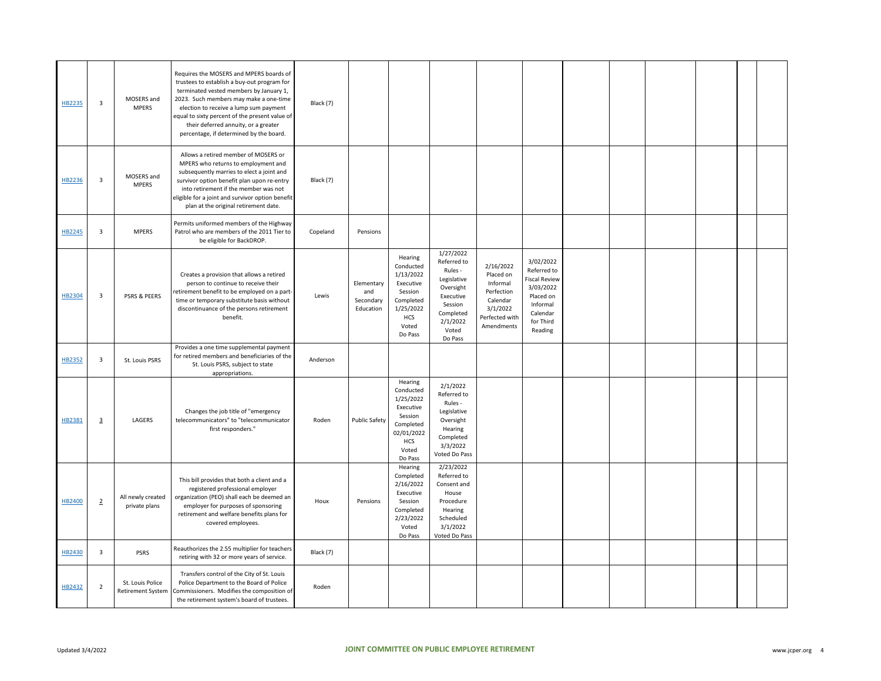| HB2235        | 3                       | MOSERS and<br><b>MPERS</b>                   | Requires the MOSERS and MPERS boards of<br>trustees to establish a buy-out program for<br>terminated vested members by January 1,<br>2023. Such members may make a one-time<br>election to receive a lump sum payment<br>equal to sixty percent of the present value of<br>their deferred annuity, or a greater<br>percentage, if determined by the board. | Black (7) |                                             |                                                                                                                        |                                                                                                                                      |                                                                                                          |                                                                                                                            |  |  |  |
|---------------|-------------------------|----------------------------------------------|------------------------------------------------------------------------------------------------------------------------------------------------------------------------------------------------------------------------------------------------------------------------------------------------------------------------------------------------------------|-----------|---------------------------------------------|------------------------------------------------------------------------------------------------------------------------|--------------------------------------------------------------------------------------------------------------------------------------|----------------------------------------------------------------------------------------------------------|----------------------------------------------------------------------------------------------------------------------------|--|--|--|
| HB2236        | $\overline{\mathbf{3}}$ | MOSERS and<br><b>MPERS</b>                   | Allows a retired member of MOSERS or<br>MPERS who returns to employment and<br>subsequently marries to elect a joint and<br>survivor option benefit plan upon re-entry<br>into retirement if the member was not<br>eligible for a joint and survivor option benefit<br>plan at the original retirement date.                                               | Black (7) |                                             |                                                                                                                        |                                                                                                                                      |                                                                                                          |                                                                                                                            |  |  |  |
| <b>HB2245</b> | $\overline{\mathbf{3}}$ | <b>MPERS</b>                                 | Permits uniformed members of the Highway<br>Patrol who are members of the 2011 Tier to<br>be eligible for BackDROP.                                                                                                                                                                                                                                        | Copeland  | Pensions                                    |                                                                                                                        |                                                                                                                                      |                                                                                                          |                                                                                                                            |  |  |  |
| HB2304        | $\overline{\mathbf{3}}$ | <b>PSRS &amp; PEERS</b>                      | Creates a provision that allows a retired<br>person to continue to receive their<br>retirement benefit to be employed on a part-<br>time or temporary substitute basis without<br>discontinuance of the persons retirement<br>benefit.                                                                                                                     | Lewis     | Elementary<br>and<br>Secondary<br>Education | Hearing<br>Conducted<br>1/13/2022<br>Executive<br>Session<br>Completed<br>1/25/2022<br><b>HCS</b><br>Voted<br>Do Pass  | 1/27/2022<br>Referred to<br>Rules -<br>Legislative<br>Oversight<br>Executive<br>Session<br>Completed<br>2/1/2022<br>Voted<br>Do Pass | 2/16/2022<br>Placed on<br>Informal<br>Perfection<br>Calendar<br>3/1/2022<br>Perfected with<br>Amendments | 3/02/2022<br>Referred to<br><b>Fiscal Review</b><br>3/03/2022<br>Placed on<br>Informal<br>Calendar<br>for Third<br>Reading |  |  |  |
| HB2352        | $\overline{\mathbf{3}}$ | St. Louis PSRS                               | Provides a one time supplemental payment<br>for retired members and beneficiaries of the<br>St. Louis PSRS, subject to state<br>appropriations.                                                                                                                                                                                                            | Anderson  |                                             |                                                                                                                        |                                                                                                                                      |                                                                                                          |                                                                                                                            |  |  |  |
| HB2381        | $\overline{3}$          | LAGERS                                       | Changes the job title of "emergency<br>telecommunicators" to "telecommunicator<br>first responders."                                                                                                                                                                                                                                                       | Roden     | <b>Public Safety</b>                        | Hearing<br>Conducted<br>1/25/2022<br>Executive<br>Session<br>Completed<br>02/01/2022<br><b>HCS</b><br>Voted<br>Do Pass | 2/1/2022<br>Referred to<br>Rules -<br>Legislative<br>Oversight<br>Hearing<br>Completed<br>3/3/2022<br>Voted Do Pass                  |                                                                                                          |                                                                                                                            |  |  |  |
| HB2400        | $\overline{2}$          | All newly created<br>private plans           | This bill provides that both a client and a<br>registered professional employer<br>organization (PEO) shall each be deemed an<br>employer for purposes of sponsoring<br>retirement and welfare benefits plans for<br>covered employees.                                                                                                                    | Houx      | Pensions                                    | Hearing<br>Completed<br>2/16/2022<br>Executive<br>Session<br>Completed<br>2/23/2022<br>Voted<br>Do Pass                | 2/23/2022<br>Referred to<br>Consent and<br>House<br>Procedure<br>Hearing<br>Scheduled<br>3/1/2022<br>Voted Do Pass                   |                                                                                                          |                                                                                                                            |  |  |  |
| HB2430        | $\overline{\mathbf{3}}$ | PSRS                                         | Reauthorizes the 2.55 multiplier for teachers<br>retiring with 32 or more years of service.                                                                                                                                                                                                                                                                | Black (7) |                                             |                                                                                                                        |                                                                                                                                      |                                                                                                          |                                                                                                                            |  |  |  |
| HB2432        | $\overline{2}$          | St. Louis Police<br><b>Retirement System</b> | Transfers control of the City of St. Louis<br>Police Department to the Board of Police<br>Commissioners. Modifies the composition of<br>the retirement system's board of trustees.                                                                                                                                                                         | Roden     |                                             |                                                                                                                        |                                                                                                                                      |                                                                                                          |                                                                                                                            |  |  |  |